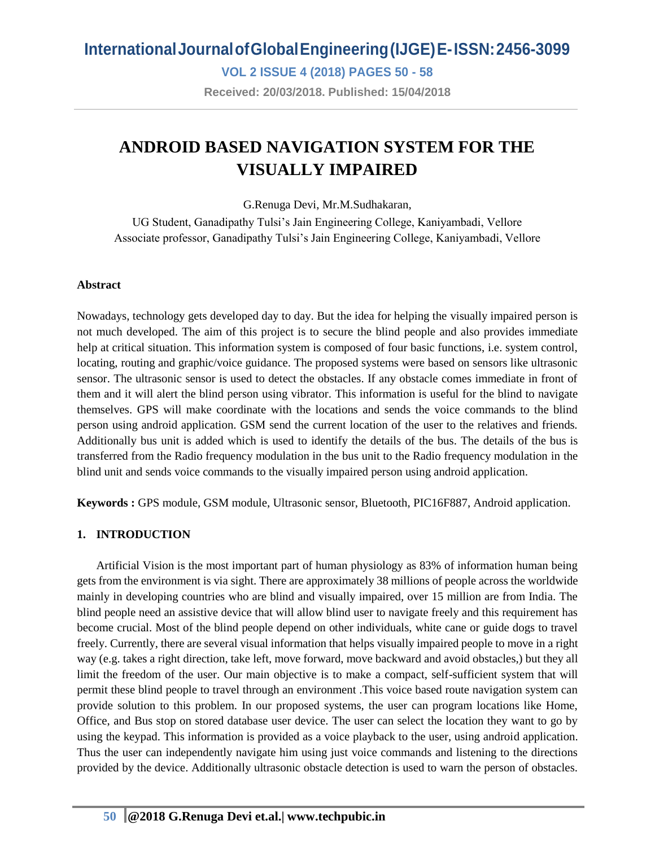**VOL 2 ISSUE 4 (2018) PAGES 50 - 58**

**Received: 20/03/2018. Published: 15/04/2018**

# **ANDROID BASED NAVIGATION SYSTEM FOR THE VISUALLY IMPAIRED**

G.Renuga Devi, Mr.M.Sudhakaran,

UG Student, Ganadipathy Tulsi's Jain Engineering College, Kaniyambadi, Vellore Associate professor, Ganadipathy Tulsi's Jain Engineering College, Kaniyambadi, Vellore

#### **Abstract**

Nowadays, technology gets developed day to day. But the idea for helping the visually impaired person is not much developed. The aim of this project is to secure the blind people and also provides immediate help at critical situation. This information system is composed of four basic functions, i.e. system control, locating, routing and graphic/voice guidance. The proposed systems were based on sensors like ultrasonic sensor. The ultrasonic sensor is used to detect the obstacles. If any obstacle comes immediate in front of them and it will alert the blind person using vibrator. This information is useful for the blind to navigate themselves. GPS will make coordinate with the locations and sends the voice commands to the blind person using android application. GSM send the current location of the user to the relatives and friends. Additionally bus unit is added which is used to identify the details of the bus. The details of the bus is transferred from the Radio frequency modulation in the bus unit to the Radio frequency modulation in the blind unit and sends voice commands to the visually impaired person using android application.

**Keywords :** GPS module, GSM module, Ultrasonic sensor, Bluetooth, PIC16F887, Android application.

#### **1. INTRODUCTION**

Artificial Vision is the most important part of human physiology as 83% of information human being gets from the environment is via sight. There are approximately 38 millions of people across the worldwide mainly in developing countries who are blind and visually impaired, over 15 million are from India. The blind people need an assistive device that will allow blind user to navigate freely and this requirement has become crucial. Most of the blind people depend on other individuals, white cane or guide dogs to travel freely. Currently, there are several visual information that helps visually impaired people to move in a right way (e.g. takes a right direction, take left, move forward, move backward and avoid obstacles,) but they all limit the freedom of the user. Our main objective is to make a compact, self-sufficient system that will permit these blind people to travel through an environment .This voice based route navigation system can provide solution to this problem. In our proposed systems, the user can program locations like Home, Office, and Bus stop on stored database user device. The user can select the location they want to go by using the keypad. This information is provided as a voice playback to the user, using android application. Thus the user can independently navigate him using just voice commands and listening to the directions provided by the device. Additionally ultrasonic obstacle detection is used to warn the person of obstacles.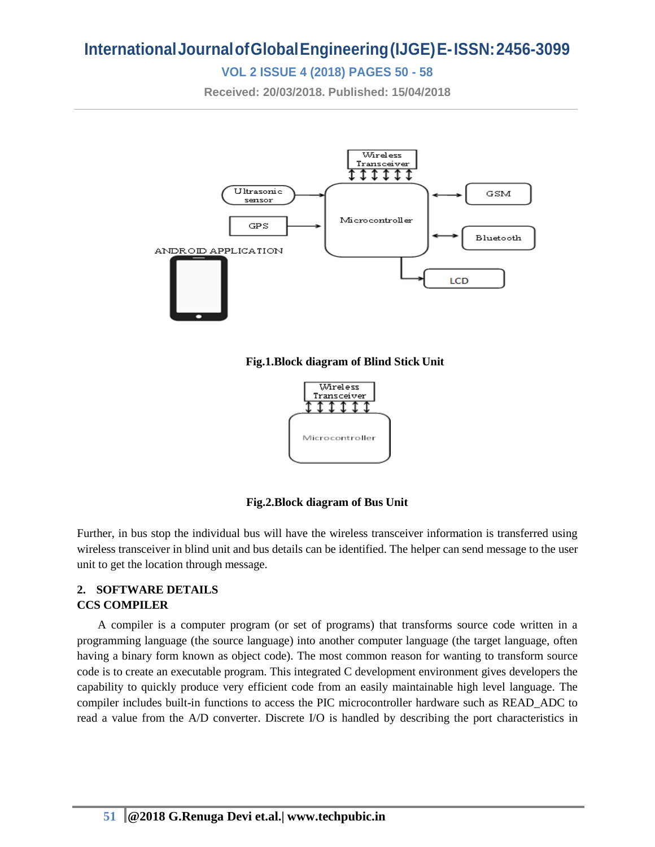## **VOL 2 ISSUE 4 (2018) PAGES 50 - 58**

**Received: 20/03/2018. Published: 15/04/2018**



**Fig.1.Block diagram of Blind Stick Unit**



**Fig.2.Block diagram of Bus Unit**

Further, in bus stop the individual bus will have the wireless transceiver information is transferred using wireless transceiver in blind unit and bus details can be identified. The helper can send message to the user unit to get the location through message.

### **2. SOFTWARE DETAILS CCS COMPILER**

 A compiler is a computer program (or set of programs) that transforms source code written in a programming language (the source language) into another computer language (the target language, often having a binary form known as object code). The most common reason for wanting to transform source code is to create an executable program. This integrated C development environment gives developers the capability to quickly produce very efficient code from an easily maintainable high level language. The compiler includes built-in functions to access the PIC microcontroller hardware such as READ\_ADC to read a value from the A/D converter. Discrete I/O is handled by describing the port characteristics in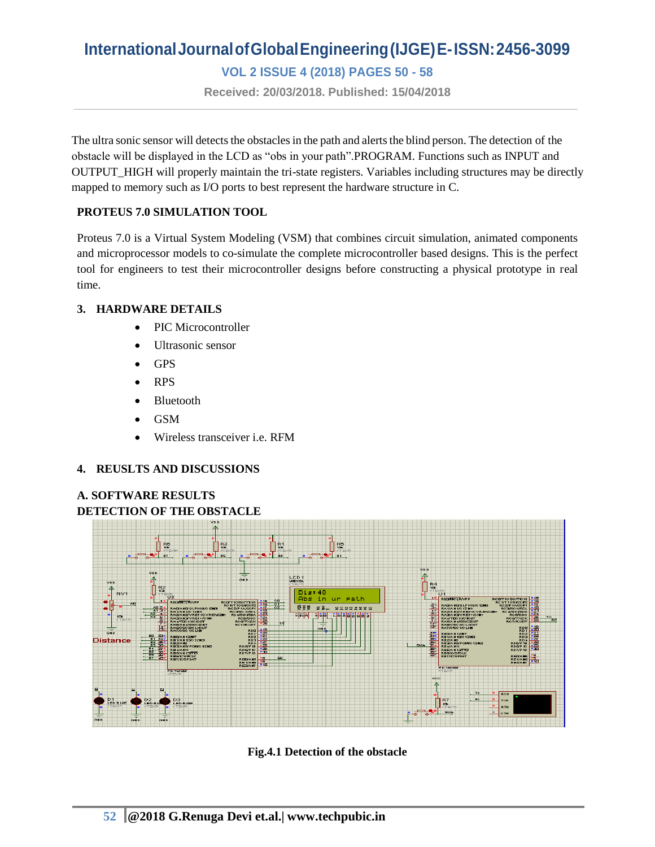**VOL 2 ISSUE 4 (2018) PAGES 50 - 58**

**Received: 20/03/2018. Published: 15/04/2018**

The ultra sonic sensor will detects the obstacles in the path and alerts the blind person. The detection of the obstacle will be displayed in the LCD as "obs in your path".PROGRAM. Functions such as INPUT and OUTPUT\_HIGH will properly maintain the tri-state registers. Variables including structures may be directly mapped to memory such as I/O ports to best represent the hardware structure in C.

### **PROTEUS 7.0 SIMULATION TOOL**

Proteus 7.0 is a Virtual System Modeling (VSM) that combines circuit simulation, animated components and microprocessor models to co-simulate the complete microcontroller based designs. This is the perfect tool for engineers to test their microcontroller designs before constructing a physical prototype in real time.

### **3. HARDWARE DETAILS**

- PIC Microcontroller
- Ultrasonic sensor
- GPS
- RPS
- Bluetooth
- **GSM**
- Wireless transceiver i.e. RFM

#### **4. REUSLTS AND DISCUSSIONS**

#### **A. SOFTWARE RESULTS DETECTION OF THE OBSTACLE**



**Fig.4.1 Detection of the obstacle**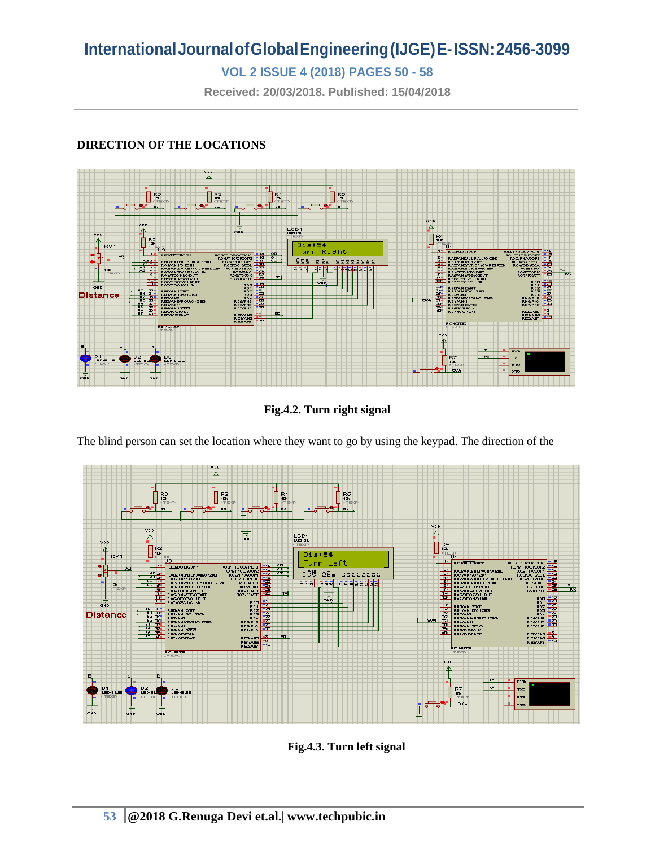## **VOL 2 ISSUE 4 (2018) PAGES 50 - 58**

**Received: 20/03/2018. Published: 15/04/2018**

## **DIRECTION OF THE LOCATIONS**



**Fig.4.2. Turn right signal**

The blind person can set the location where they want to go by using the keypad. The direction of the



**Fig.4.3. Turn left signal**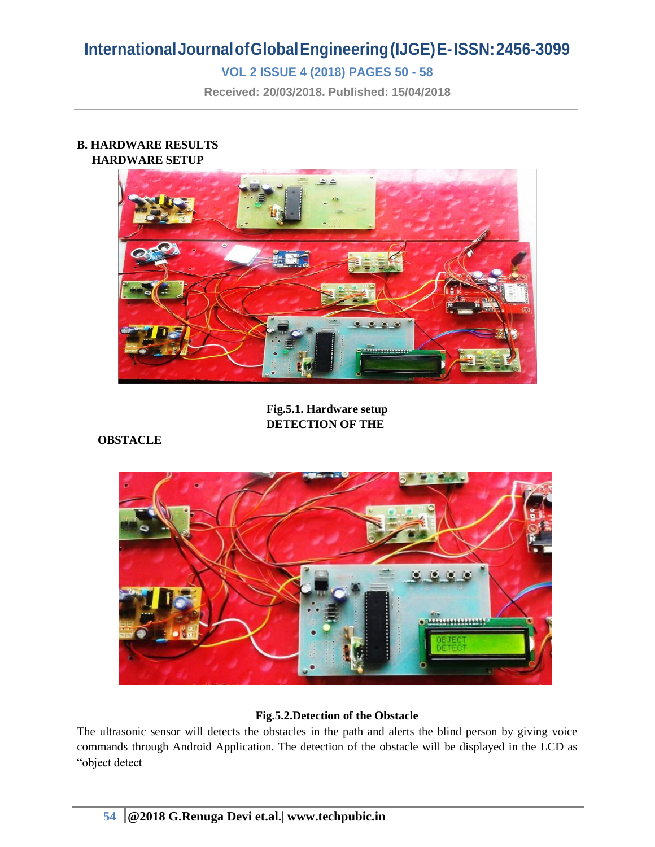## **VOL 2 ISSUE 4 (2018) PAGES 50 - 58**

**Received: 20/03/2018. Published: 15/04/2018**

#### **B. HARDWARE RESULTS HARDWARE SETUP**



**Fig.5.1. Hardware setup DETECTION OF THE** 

**OBSTACLE**

![](_page_4_Picture_7.jpeg)

#### **Fig.5.2.Detection of the Obstacle**

The ultrasonic sensor will detects the obstacles in the path and alerts the blind person by giving voice commands through Android Application. The detection of the obstacle will be displayed in the LCD as "object detect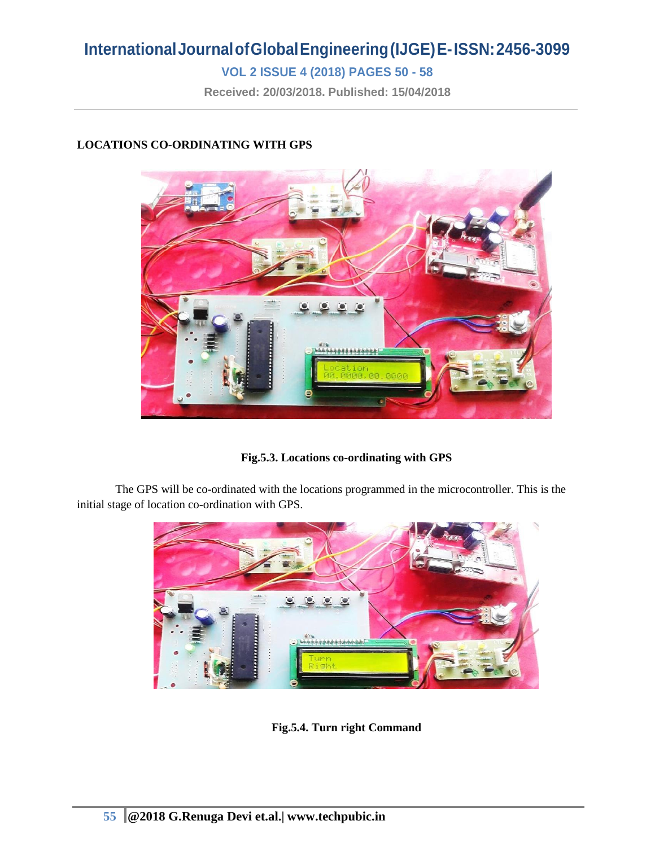## **VOL 2 ISSUE 4 (2018) PAGES 50 - 58**

**Received: 20/03/2018. Published: 15/04/2018**

### **LOCATIONS CO-ORDINATING WITH GPS**

![](_page_5_Picture_4.jpeg)

**Fig.5.3. Locations co-ordinating with GPS**

The GPS will be co-ordinated with the locations programmed in the microcontroller. This is the initial stage of location co-ordination with GPS.

![](_page_5_Picture_7.jpeg)

**Fig.5.4. Turn right Command**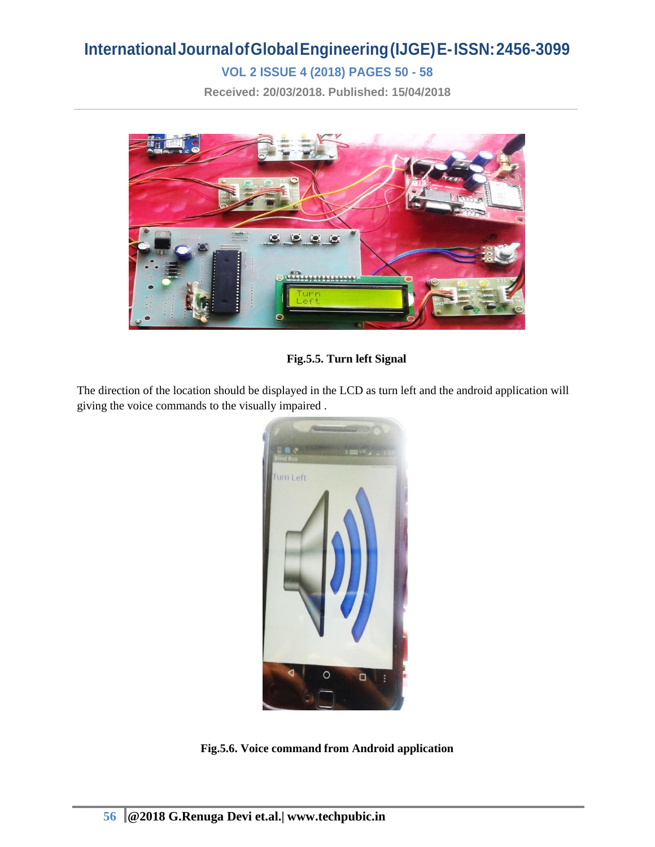**VOL 2 ISSUE 4 (2018) PAGES 50 - 58**

**Received: 20/03/2018. Published: 15/04/2018**

![](_page_6_Picture_3.jpeg)

**Fig.5.5. Turn left Signal**

The direction of the location should be displayed in the LCD as turn left and the android application will giving the voice commands to the visually impaired .

![](_page_6_Picture_6.jpeg)

**Fig.5.6. Voice command from Android application**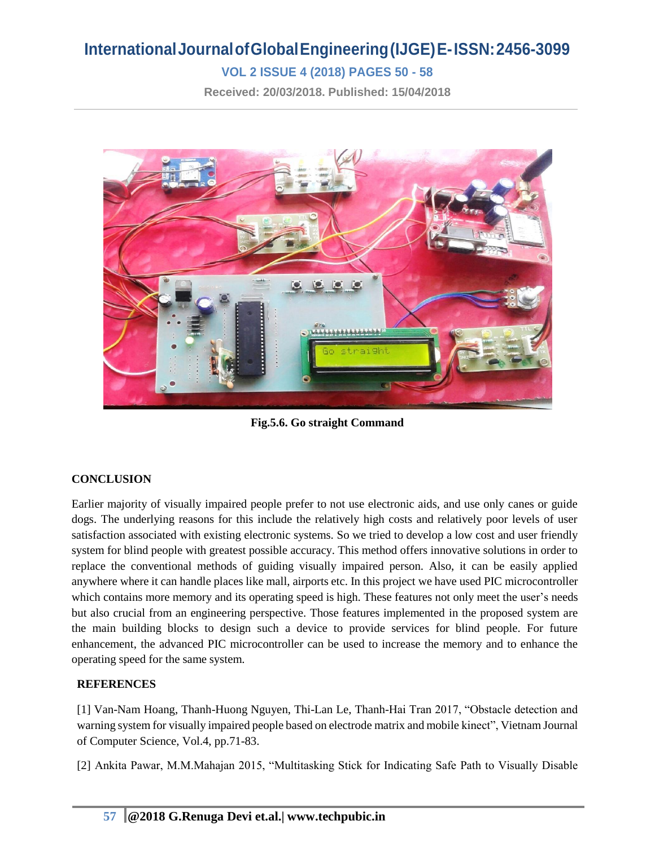## **VOL 2 ISSUE 4 (2018) PAGES 50 - 58**

**Received: 20/03/2018. Published: 15/04/2018**

![](_page_7_Picture_3.jpeg)

**Fig.5.6. Go straight Command**

### **CONCLUSION**

Earlier majority of visually impaired people prefer to not use electronic aids, and use only canes or guide dogs. The underlying reasons for this include the relatively high costs and relatively poor levels of user satisfaction associated with existing electronic systems. So we tried to develop a low cost and user friendly system for blind people with greatest possible accuracy. This method offers innovative solutions in order to replace the conventional methods of guiding visually impaired person. Also, it can be easily applied anywhere where it can handle places like mall, airports etc. In this project we have used PIC microcontroller which contains more memory and its operating speed is high. These features not only meet the user's needs but also crucial from an engineering perspective. Those features implemented in the proposed system are the main building blocks to design such a device to provide services for blind people. For future enhancement, the advanced PIC microcontroller can be used to increase the memory and to enhance the operating speed for the same system.

#### **REFERENCES**

[1] Van-Nam Hoang, Thanh-Huong Nguyen, Thi-Lan Le, Thanh-Hai Tran 2017, "Obstacle detection and warning system for visually impaired people based on electrode matrix and mobile kinect", Vietnam Journal of Computer Science, Vol.4, pp.71-83.

[2] Ankita Pawar, M.M.Mahajan 2015, "Multitasking Stick for Indicating Safe Path to Visually Disable